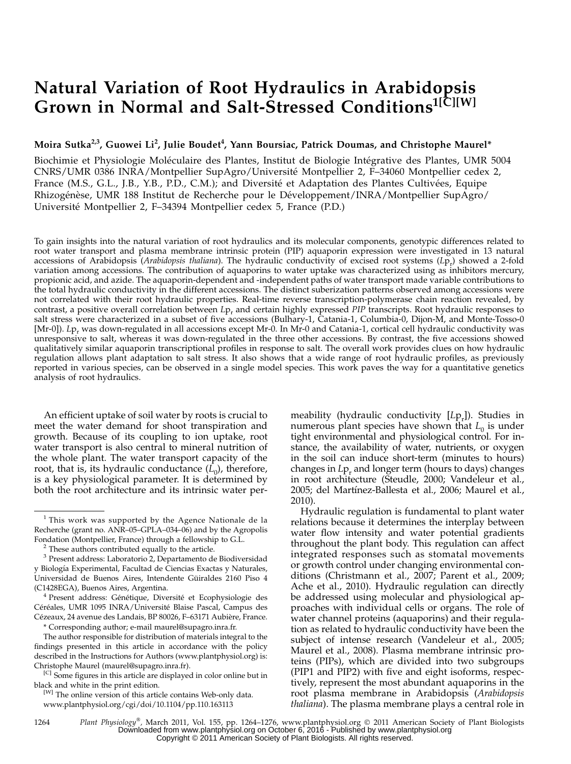# Natural Variation of Root Hydraulics in Arabidopsis Grown in Normal and Salt-Stressed Conditions<sup>1[C][W]</sup>

# Moira Sutka<sup>2,3</sup>, Guowei Li<sup>2</sup>, Julie Boudet<sup>4</sup>, Yann Boursiac, Patrick Doumas, and Christophe Maurel\*

Biochimie et Physiologie Moléculaire des Plantes, Institut de Biologie Intégrative des Plantes, UMR 5004 CNRS/UMR 0386 INRA/Montpellier SupAgro/Universite´ Montpellier 2, F–34060 Montpellier cedex 2, France (M.S., G.L., J.B., Y.B., P.D., C.M.); and Diversité et Adaptation des Plantes Cultivées, Equipe Rhizogénèse, UMR 188 Institut de Recherche pour le Développement/INRA/Montpellier SupAgro/ Université Montpellier 2, F–34394 Montpellier cedex 5, France (P.D.)

To gain insights into the natural variation of root hydraulics and its molecular components, genotypic differences related to root water transport and plasma membrane intrinsic protein (PIP) aquaporin expression were investigated in 13 natural accessions of Arabidopsis (Arabidopsis thaliana). The hydraulic conductivity of excised root systems (Lp<sub>r</sub>) showed a 2-fold variation among accessions. The contribution of aquaporins to water uptake was characterized using as inhibitors mercury, propionic acid, and azide. The aquaporin-dependent and -independent paths of water transport made variable contributions to the total hydraulic conductivity in the different accessions. The distinct suberization patterns observed among accessions were not correlated with their root hydraulic properties. Real-time reverse transcription-polymerase chain reaction revealed, by contrast, a positive overall correlation between  $L_{p_r}$  and certain highly expressed PIP transcripts. Root hydraulic responses to salt stress were characterized in a subset of five accessions (Bulhary-1, Catania-1, Columbia-0, Dijon-M, and Monte-Tosso-0 [Mr-0]). Lp<sub>r</sub> was down-regulated in all accessions except Mr-0. In Mr-0 and Catania-1, cortical cell hydraulic conductivity was unresponsive to salt, whereas it was down-regulated in the three other accessions. By contrast, the five accessions showed qualitatively similar aquaporin transcriptional profiles in response to salt. The overall work provides clues on how hydraulic regulation allows plant adaptation to salt stress. It also shows that a wide range of root hydraulic profiles, as previously reported in various species, can be observed in a single model species. This work paves the way for a quantitative genetics analysis of root hydraulics.

An efficient uptake of soil water by roots is crucial to meet the water demand for shoot transpiration and growth. Because of its coupling to ion uptake, root water transport is also central to mineral nutrition of the whole plant. The water transport capacity of the root, that is, its hydraulic conductance  $(L_0)$ , therefore, is a key physiological parameter. It is determined by both the root architecture and its intrinsic water per-

(C1428EGA), Buenos Aires, Argentina.<br><sup>4</sup> Present address: Génétique, Diversité et Ecophysiologie des Céréales, UMR 1095 INRA/Université Blaise Pascal, Campus des Cézeaux, 24 avenue des Landais, BP 80026, F-63171 Aubière, France.

\* Corresponding author; e-mail maurel@supagro.inra.fr.

The author responsible for distribution of materials integral to the findings presented in this article in accordance with the policy described in the Instructions for Authors (www.plantphysiol.org) is: Christophe Maurel (maurel@supagro.inra.fr).

<sup>[C]</sup> Some figures in this article are displayed in color online but in black and white in the print edition.

[W] The online version of this article contains Web-only data. www.plantphysiol.org/cgi/doi/10.1104/pp.110.163113

meability (hydraulic conductivity  $[Lp_r]$ ). Studies in numerous plant species have shown that  $L_0$  is under tight environmental and physiological control. For instance, the availability of water, nutrients, or oxygen in the soil can induce short-term (minutes to hours) changes in  $L_{P_r}$  and longer term (hours to days) changes in root architecture (Steudle, 2000; Vandeleur et al., 2005; del Martínez-Ballesta et al., 2006; Maurel et al., 2010).

Hydraulic regulation is fundamental to plant water relations because it determines the interplay between water flow intensity and water potential gradients throughout the plant body. This regulation can affect integrated responses such as stomatal movements or growth control under changing environmental conditions (Christmann et al., 2007; Parent et al., 2009; Ache et al., 2010). Hydraulic regulation can directly be addressed using molecular and physiological approaches with individual cells or organs. The role of water channel proteins (aquaporins) and their regulation as related to hydraulic conductivity have been the subject of intense research (Vandeleur et al., 2005; Maurel et al., 2008). Plasma membrane intrinsic proteins (PIPs), which are divided into two subgroups (PIP1 and PIP2) with five and eight isoforms, respectively, represent the most abundant aquaporins in the root plasma membrane in Arabidopsis (Arabidopsis thaliana). The plasma membrane plays a central role in

<sup>&</sup>lt;sup>1</sup> This work was supported by the Agence Nationale de la Recherche (grant no. ANR–05–GPLA–034–06) and by the Agropolis Fondation (Montpellier, France) through a fellowship to G.L. <sup>2</sup> These authors contributed equally to the article.

<sup>3</sup> Present address: Laboratorio 2, Departamento de Biodiversidad y Biología Experimental, Facultad de Ciencias Exactas y Naturales, Universidad de Buenos Aires, Intendente Güiraldes 2160 Piso 4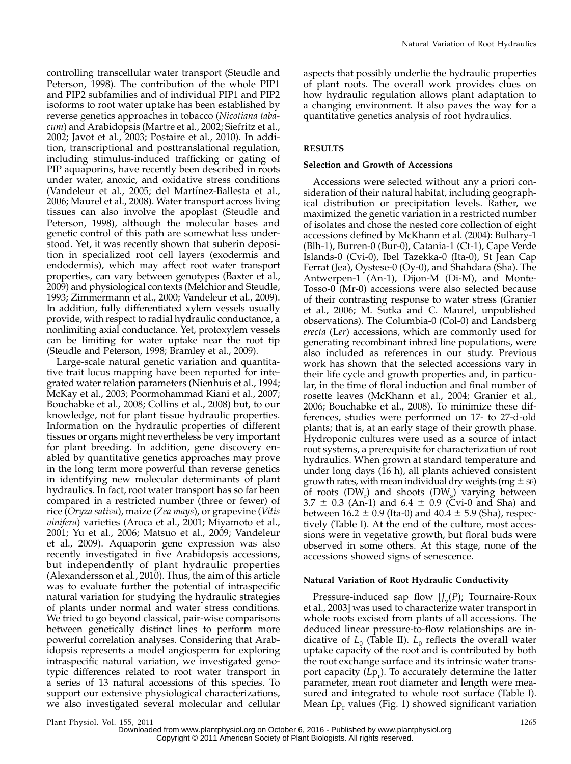controlling transcellular water transport (Steudle and Peterson, 1998). The contribution of the whole PIP1 and PIP2 subfamilies and of individual PIP1 and PIP2 isoforms to root water uptake has been established by reverse genetics approaches in tobacco (Nicotiana tabacum) and Arabidopsis (Martre et al., 2002; Siefritz et al., 2002; Javot et al., 2003; Postaire et al., 2010). In addition, transcriptional and posttranslational regulation, including stimulus-induced trafficking or gating of PIP aquaporins, have recently been described in roots under water, anoxic, and oxidative stress conditions (Vandeleur et al., 2005; del Martínez-Ballesta et al., 2006; Maurel et al., 2008). Water transport across living tissues can also involve the apoplast (Steudle and Peterson, 1998), although the molecular bases and genetic control of this path are somewhat less understood. Yet, it was recently shown that suberin deposition in specialized root cell layers (exodermis and endodermis), which may affect root water transport properties, can vary between genotypes (Baxter et al., 2009) and physiological contexts (Melchior and Steudle, 1993; Zimmermann et al., 2000; Vandeleur et al., 2009). In addition, fully differentiated xylem vessels usually provide, with respect to radial hydraulic conductance, a nonlimiting axial conductance. Yet, protoxylem vessels can be limiting for water uptake near the root tip (Steudle and Peterson, 1998; Bramley et al., 2009).

Large-scale natural genetic variation and quantitative trait locus mapping have been reported for integrated water relation parameters (Nienhuis et al., 1994; McKay et al., 2003; Poormohammad Kiani et al., 2007; Bouchabke et al., 2008; Collins et al., 2008) but, to our knowledge, not for plant tissue hydraulic properties. Information on the hydraulic properties of different tissues or organs might nevertheless be very important for plant breeding. In addition, gene discovery enabled by quantitative genetics approaches may prove in the long term more powerful than reverse genetics in identifying new molecular determinants of plant hydraulics. In fact, root water transport has so far been compared in a restricted number (three or fewer) of rice (Oryza sativa), maize (Zea mays), or grapevine (Vitis vinifera) varieties (Aroca et al., 2001; Miyamoto et al., 2001; Yu et al., 2006; Matsuo et al., 2009; Vandeleur et al., 2009). Aquaporin gene expression was also recently investigated in five Arabidopsis accessions, but independently of plant hydraulic properties (Alexandersson et al., 2010). Thus, the aim of this article was to evaluate further the potential of intraspecific natural variation for studying the hydraulic strategies of plants under normal and water stress conditions. We tried to go beyond classical, pair-wise comparisons between genetically distinct lines to perform more powerful correlation analyses. Considering that Arabidopsis represents a model angiosperm for exploring intraspecific natural variation, we investigated genotypic differences related to root water transport in a series of 13 natural accessions of this species. To support our extensive physiological characterizations, we also investigated several molecular and cellular

aspects that possibly underlie the hydraulic properties of plant roots. The overall work provides clues on how hydraulic regulation allows plant adaptation to a changing environment. It also paves the way for a quantitative genetics analysis of root hydraulics.

# RESULTS

#### Selection and Growth of Accessions

Accessions were selected without any a priori consideration of their natural habitat, including geographical distribution or precipitation levels. Rather, we maximized the genetic variation in a restricted number of isolates and chose the nested core collection of eight accessions defined by McKhann et al. (2004): Bulhary-1 (Blh-1), Burren-0 (Bur-0), Catania-1 (Ct-1), Cape Verde Islands-0 (Cvi-0), Ibel Tazekka-0 (Ita-0), St Jean Cap Ferrat (Jea), Oystese-0 (Oy-0), and Shahdara (Sha). The Antwerpen-1 (An-1), Dijon-M (Di-M), and Monte-Tosso-0 (Mr-0) accessions were also selected because of their contrasting response to water stress (Granier et al., 2006; M. Sutka and C. Maurel, unpublished observations). The Columbia-0 (Col-0) and Landsberg erecta (Ler) accessions, which are commonly used for generating recombinant inbred line populations, were also included as references in our study. Previous work has shown that the selected accessions vary in their life cycle and growth properties and, in particular, in the time of floral induction and final number of rosette leaves (McKhann et al., 2004; Granier et al., 2006; Bouchabke et al., 2008). To minimize these differences, studies were performed on 17- to 27-d-old plants; that is, at an early stage of their growth phase. Hydroponic cultures were used as a source of intact root systems, a prerequisite for characterization of root hydraulics. When grown at standard temperature and under long days (16 h), all plants achieved consistent growth rates, with mean individual dry weights (mg  $\pm$  sE) of roots  $(DW_r)$  and shoots  $(DW_s)$  varying between  $3.7 \pm 0.3$  (An-1) and  $6.4 \pm 0.9$  (Cvi-0 and Sha) and between  $16.2 \pm 0.9$  (Ita-0) and  $40.4 \pm 5.9$  (Sha), respectively (Table I). At the end of the culture, most accessions were in vegetative growth, but floral buds were observed in some others. At this stage, none of the accessions showed signs of senescence.

#### Natural Variation of Root Hydraulic Conductivity

Pressure-induced sap flow  $[J_{v}(P))$ ; Tournaire-Roux et al., 2003] was used to characterize water transport in whole roots excised from plants of all accessions. The deduced linear pressure-to-flow relationships are indicative of  $L_0$  (Table II).  $L_0$  reflects the overall water uptake capacity of the root and is contributed by both the root exchange surface and its intrinsic water transport capacity  $(Lp_r)$ . To accurately determine the latter parameter, mean root diameter and length were measured and integrated to whole root surface (Table I). Mean  $L_{\text{P}_r}$  values (Fig. 1) showed significant variation

Plant Physiol. Vol. 155, 2011 1265

Downloaded from [www.plantphysiol.org](http://www.plantphysiol.org/) on October 6, 2016 - Published by [www.plantphysiol.org](http://www.plantphysiol.org) Copyright © 2011 American Society of Plant Biologists. All rights reserved.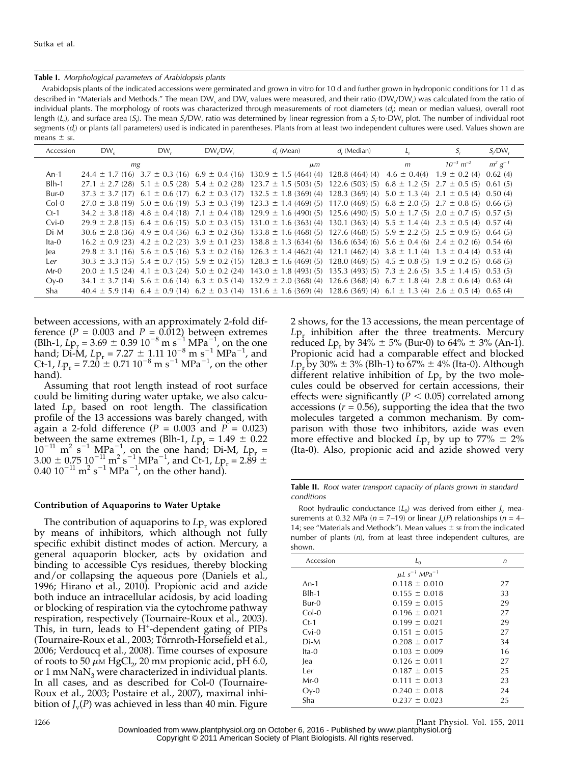#### Table I. Morphological parameters of Arabidopsis plants

Arabidopsis plants of the indicated accessions were germinated and grown in vitro for 10 d and further grown in hydroponic conditions for 11 d as described in "Materials and Methods." The mean DW<sub>s</sub> and DW<sub>r</sub> values were measured, and their ratio (DW<sub>s</sub>/DW<sub>r</sub>) was calculated from the ratio of individual plants. The morphology of roots was characterized through measurements of root diameters ( $d_i$ ; mean or median values), overall root length (L<sub>r</sub>), and surface area (S<sub>r</sub>). The mean S<sub>r</sub>/DW<sub>r</sub> ratio was determined by linear regression from a S<sub>r</sub>-to-DW<sub>r</sub> plot. The number of individual root segments ( $d_{\rm r}$ ) or plants (all parameters) used is indicated in parentheses. Plants from at least two independent cultures were used. Values shown are means  $\pm$  sE.

| Accession | $DW_{S}$                                                  | DW, | $DW_{s}/DW_{r}$    | $d_r$ (Mean)                                                                                                                                         | $d$ , (Median)                                               |                                     | S,                                             | $S_{r}$ DW <sub>r</sub> |
|-----------|-----------------------------------------------------------|-----|--------------------|------------------------------------------------------------------------------------------------------------------------------------------------------|--------------------------------------------------------------|-------------------------------------|------------------------------------------------|-------------------------|
|           | mg                                                        |     |                    | $\mu$ m                                                                                                                                              |                                                              | m                                   | $10^{-3}$ $m^{-2}$                             | $m^2 g^{-1}$            |
| $An-1$    | $24.4 \pm 1.7$ (16) $3.7 \pm 0.3$ (16) $6.9 \pm 0.4$ (16) |     |                    | $130.9 \pm 1.5$ (464) (4)                                                                                                                            | 128.8(464)(4)                                                | $4.6 \pm 0.4(4)$                    | $1.9 \pm 0.2$ (4)                              | 0.62(4)                 |
| $B$ lh-1  | $27.1 \pm 2.7$ (28) $5.1 \pm 0.5$ (28) $5.4 \pm 0.2$ (28) |     |                    | $123.7 \pm 1.5$ (503) (5)                                                                                                                            | 122.6(503)(5)                                                | $6.8 \pm 1.2$ (5)                   | $2.7 \pm 0.5$ (5)                              | 0.61(5)                 |
| Bur-0     | $37.3 \pm 3.7$ (17) $6.1 \pm 0.6$ (17) $6.2 \pm 0.3$ (17) |     |                    | $132.5 \pm 1.8$ (369) (4)                                                                                                                            | 128.3(369)(4)                                                |                                     | $5.0 \pm 1.3$ (4) $2.1 \pm 0.5$ (4) $0.50$ (4) |                         |
| $Col-0$   |                                                           |     |                    | $27.0 \pm 3.8$ (19) $5.0 \pm 0.6$ (19) $5.3 \pm 0.3$ (19) $123.3 \pm 1.4$ (469) (5)                                                                  | 117.0(469)(5)                                                |                                     | $6.8 \pm 2.0$ (5) $2.7 \pm 0.8$ (5)            | 0.66(5)                 |
| $Ct-1$    | $34.2 \pm 3.8$ (18) $4.8 \pm 0.4$ (18)                    |     | $7.1 \pm 0.4$ (18) | $129.9 \pm 1.6$ (490) (5)                                                                                                                            | 125.6(490)(5)                                                |                                     | $5.0 \pm 1.7$ (5) $2.0 \pm 0.7$ (5) $0.57$ (5) |                         |
| $Cvi-0$   | $29.9 \pm 2.8$ (15) 6.4 $\pm$ 0.6 (15) 5.0 $\pm$ 0.3 (15) |     |                    | $131.0 \pm 1.6$ (363) (4)                                                                                                                            | 130.1(363)(4)                                                |                                     | $5.5 \pm 1.4$ (4) $2.3 \pm 0.5$ (4) 0.57 (4)   |                         |
| $Di-M$    | $30.6 \pm 2.8$ (36) $4.9 \pm 0.4$ (36) $6.3 \pm 0.2$ (36) |     |                    | $133.8 \pm 1.6$ (468) (5)                                                                                                                            | $127.6(468)(5)$ 5.9 $\pm$ 2.2 (5) 2.5 $\pm$ 0.9 (5)          |                                     |                                                | 0.64(5)                 |
| $Ita-0$   | $16.2 \pm 0.9$ (23) $4.2 \pm 0.2$ (23) $3.9 \pm 0.1$ (23) |     |                    | $138.8 \pm 1.3(634)(6)$                                                                                                                              | 136.6 (634) (6) $5.6 \pm 0.4$ (6) $2.4 \pm 0.2$ (6) 0.54 (6) |                                     |                                                |                         |
| lea       | $29.8 \pm 3.1$ (16) $5.6 \pm 0.5$ (16) $5.3 \pm 0.2$ (16) |     |                    | $126.3 \pm 1.4$ (462) (4)                                                                                                                            | 121.1(462)(4)                                                |                                     | $3.8 \pm 1.1$ (4) $1.3 \pm 0.4$ (4) 0.53 (4)   |                         |
| Ler       | $30.3 \pm 3.3$ (15) $5.4 \pm 0.7$ (15) $5.9 \pm 0.2$ (15) |     |                    | $128.3 \pm 1.6$ (469) (5)                                                                                                                            | 128.0(469)(5)                                                | $4.5 \pm 0.8$ (5) $1.9 \pm 0.2$ (5) |                                                | 0.68(5)                 |
| $Mr-0$    | $20.0 \pm 1.5$ (24) $4.1 \pm 0.3$ (24) $5.0 \pm 0.2$ (24) |     |                    | $143.0 \pm 1.8$ (493) (5)                                                                                                                            | 135.3(493)(5)                                                |                                     | $7.3 \pm 2.6$ (5) $3.5 \pm 1.4$ (5) 0.53 (5)   |                         |
| $Oy-0$    | $34.1 \pm 3.7$ (14) $5.6 \pm 0.6$ (14)                    |     | $6.3 \pm 0.5$ (14) | $132.9 \pm 2.0$ (368) (4)                                                                                                                            | 126.6(368)(4)                                                |                                     | $6.7 \pm 1.8$ (4) $2.8 \pm 0.6$ (4)            | 0.63(4)                 |
| Sha       |                                                           |     |                    | $40.4 \pm 5.9$ (14) $6.4 \pm 0.9$ (14) $6.2 \pm 0.3$ (14) $131.6 \pm 1.6$ (369) (4) $128.6$ (369) (4) $6.1 \pm 1.3$ (4) $2.6 \pm 0.5$ (4) $0.65$ (4) |                                                              |                                     |                                                |                         |

between accessions, with an approximately 2-fold difference ( $P = 0.003$  and  $P = 0.012$ ) between extremes  $(Blh-1, Lp_r = 3.69 \pm 0.39 \cdot 10^{-8} \text{ m s}^{-1} \text{ MPa}^{-1}$ , on the one hand; Di-M,  $Lp_r = 7.27 \pm 1.11 \, 10^{-8} \, \text{m s}^{-1} \, \text{MPa}^{-1}$ , and Ct-1,  $Lp_r = 7.20 \pm 0.71 \, 10^{-8} \, \text{m s}^{-1} \, \text{MPa}^{-1}$ , on the other hand).

Assuming that root length instead of root surface could be limiting during water uptake, we also calculated  $L_{P_r}$  based on root length. The classification profile of the 13 accessions was barely changed, with again a 2-fold difference ( $P = 0.003$  and  $P = 0.023$ ) between the same extremes (Blh-1,  $Lp_r = 1.49 \pm 0.22$  $10^{-11}$  m<sup>2</sup> s<sup>-1</sup> MPa<sup>-1</sup>, on the one hand; Di-M,  $Lp_r =$  $3.00 \pm 0.75 \, 10^{-11} \, \text{m}^2 \, \text{s}^{-1} \, \text{MPa}^{-1}$ , and Ct-1,  $Lp_r = 2.89 \pm 0.75 \, \text{nm}$ 0.40  $10^{-11}$  m<sup>2</sup> s<sup>-1</sup> MPa<sup>-1</sup>, on the other hand).

#### Contribution of Aquaporins to Water Uptake

The contribution of aquaporins to  $L_{\mathsf{P}_r}$  was explored by means of inhibitors, which although not fully specific exhibit distinct modes of action. Mercury, a general aquaporin blocker, acts by oxidation and binding to accessible Cys residues, thereby blocking and/or collapsing the aqueous pore (Daniels et al., 1996; Hirano et al., 2010). Propionic acid and azide both induce an intracellular acidosis, by acid loading or blocking of respiration via the cytochrome pathway respiration, respectively (Tournaire-Roux et al., 2003). This, in turn, leads to  $H^+$ -dependent gating of PIPs (Tournaire-Roux et al., 2003; Törnroth-Horsefield et al., 2006; Verdoucq et al., 2008). Time courses of exposure of roots to 50  $\mu$ M HgCl<sub>2</sub>, 20 mM propionic acid, pH 6.0, or 1 mm  $\text{Na}\text{N}_3$  were characterized in individual plants. In all cases, and as described for Col-0 (Tournaire-Roux et al., 2003; Postaire et al., 2007), maximal inhibition of  $J_{\rm v}(P)$  was achieved in less than 40 min. Figure

2 shows, for the 13 accessions, the mean percentage of  $L_{\mathsf{P}_r}$  inhibition after the three treatments. Mercury reduced Lp<sub>r</sub> by 34%  $\pm$  5% (Bur-0) to 64%  $\pm$  3% (An-1). Propionic acid had a comparable effect and blocked Lp<sub>r</sub> by 30%  $\pm$  3% (Blh-1) to 67%  $\pm$  4% (Ita-0). Although different relative inhibition of  $L_{P_r}$  by the two molecules could be observed for certain accessions, their effects were significantly ( $P < 0.05$ ) correlated among accessions ( $r = 0.56$ ), supporting the idea that the two molecules targeted a common mechanism. By comparison with those two inhibitors, azide was even more effective and blocked  $L_{p_r}$  by up to 77%  $\pm$  2% (Ita-0). Also, propionic acid and azide showed very

Table II. Root water transport capacity of plants grown in standard conditions

Root hydraulic conductance  $(L_0)$  was derived from either  $J_v$  measurements at 0.32 MPa ( $n = 7$ –19) or linear  $J_v(P)$  relationships ( $n = 4$ – 14; see "Materials and Methods"). Mean values  $\pm$  se from the indicated number of plants (n), from at least three independent cultures, are shown.

| Accession | $L_{0}$                 | n  |
|-----------|-------------------------|----|
|           | $\mu L s^{-1} MPa^{-1}$ |    |
| An-1      | $0.118 \pm 0.010$       | 27 |
| Blh-1     | $0.155 \pm 0.018$       | 33 |
| Bur-0     | $0.159 \pm 0.015$       | 29 |
| $Col-0$   | $0.196 \pm 0.021$       | 27 |
| $Ct-1$    | $0.199 \pm 0.021$       | 29 |
| $Cvi-0$   | $0.151 \pm 0.015$       | 27 |
| $Di-M$    | $0.208 \pm 0.017$       | 34 |
| $Ita-0$   | $0.103 \pm 0.009$       | 16 |
| lea       | $0.126 \pm 0.011$       | 27 |
| Ler       | $0.187 \pm 0.015$       | 25 |
| $Mr-0$    | $0.111 \pm 0.013$       | 23 |
| $Oy-0$    | $0.240 \pm 0.018$       | 24 |
| Sha       | $0.237 \pm 0.023$       | 25 |
|           |                         |    |

<sup>1266</sup> Plant Physiol. Vol. 155, 2011 Downloaded from [www.plantphysiol.org](http://www.plantphysiol.org/) on October 6, 2016 - Published by [www.plantphysiol.org](http://www.plantphysiol.org) Copyright © 2011 American Society of Plant Biologists. All rights reserved.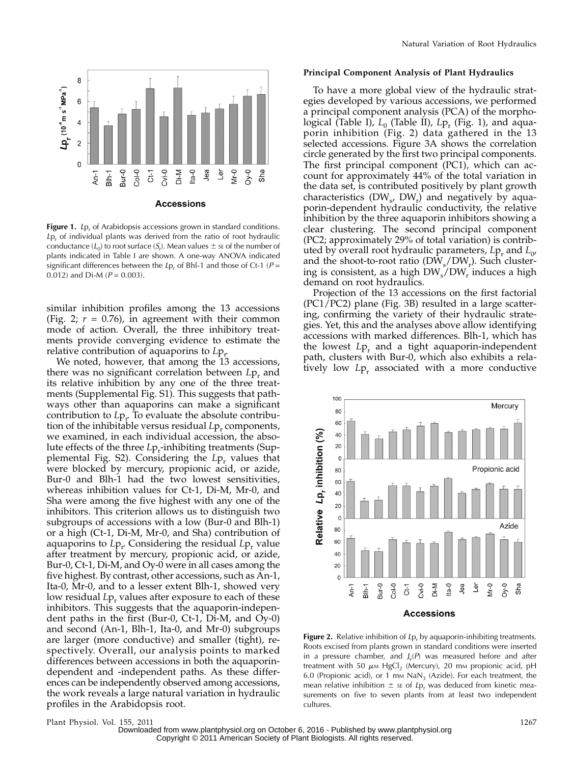

**Figure 1.** Lp<sub>r</sub> of Arabidopsis accessions grown in standard conditions.  $L_{p,r}$  of individual plants was derived from the ratio of root hydraulic conductance ( $L_0$ ) to root surface ( $S_{\rm r}$ ). Mean values  $\pm$  s $\rm \varepsilon$  of the number of plants indicated in Table I are shown. A one-way ANOVA indicated significant differences between the Lp<sub>r</sub> of Bhl-1 and those of Ct-1 ( $P =$ 0.012) and Di-M ( $P = 0.003$ ).

similar inhibition profiles among the 13 accessions (Fig. 2;  $r = 0.76$ ), in agreement with their common mode of action. Overall, the three inhibitory treatments provide converging evidence to estimate the relative contribution of aquaporins to  $L_{P_r}$ 

We noted, however, that among the 13 accessions, there was no significant correlation between  $L_{p_r}$  and its relative inhibition by any one of the three treatments (Supplemental Fig. S1). This suggests that pathways other than aquaporins can make a significant contribution to  $L_{\mathcal{P}_T}$  To evaluate the absolute contribution of the inhibitable versus residual  $L_{p,r}$  components, we examined, in each individual accession, the absolute effects of the three  $L_{p_r}$ -inhibiting treatments (Supplemental Fig. S2). Considering the  $L_{\mathsf{P}_r}$  values that were blocked by mercury, propionic acid, or azide, Bur-0 and Blh-1 had the two lowest sensitivities, whereas inhibition values for Ct-1, Di-M, Mr-0, and Sha were among the five highest with any one of the inhibitors. This criterion allows us to distinguish two subgroups of accessions with a low (Bur-0 and Blh-1) or a high (Ct-1, Di-M, Mr-0, and Sha) contribution of aquaporins to  $L_{\mathbf{P}_r}$ . Considering the residual  $L_{\mathbf{P}_r}$  value after treatment by mercury, propionic acid, or azide, Bur-0, Ct-1, Di-M, and Oy-0 were in all cases among the five highest. By contrast, other accessions, such as An-1, Ita-0, Mr-0, and to a lesser extent Blh-1, showed very low residual  $L_{P_r}$  values after exposure to each of these inhibitors. This suggests that the aquaporin-independent paths in the first (Bur-0, Ct-1, Di-M, and Oy-0) and second (An-1, Blh-1, Ita-0, and Mr-0) subgroups are larger (more conductive) and smaller (tight), respectively. Overall, our analysis points to marked differences between accessions in both the aquaporindependent and -independent paths. As these differences can be independently observed among accessions, the work reveals a large natural variation in hydraulic profiles in the Arabidopsis root.

#### Principal Component Analysis of Plant Hydraulics

To have a more global view of the hydraulic strategies developed by various accessions, we performed a principal component analysis (PCA) of the morphological (Table I),  $L_0$  (Table II),  $L_{\rm p}$  (Fig. 1), and aquaporin inhibition (Fig. 2) data gathered in the 13 selected accessions. Figure 3A shows the correlation circle generated by the first two principal components. The first principal component (PC1), which can account for approximately 44% of the total variation in the data set, is contributed positively by plant growth characteristics  $(DW_{s}, DW_{r})$  and negatively by aquaporin-dependent hydraulic conductivity, the relative inhibition by the three aquaporin inhibitors showing a clear clustering. The second principal component (PC2; approximately 29% of total variation) is contributed by overall root hydraulic parameters,  $L_{p_r}$  and  $L_{0}$ , and the shoot-to-root ratio  $(DW_s/DW_r)$ . Such clustering is consistent, as a high  $DW_s/DW_r$  induces a high demand on root hydraulics.

Projection of the 13 accessions on the first factorial (PC1/PC2) plane (Fig. 3B) resulted in a large scattering, confirming the variety of their hydraulic strategies. Yet, this and the analyses above allow identifying accessions with marked differences. Blh-1, which has the lowest  $L_{P_r}$  and a tight aquaporin-independent path, clusters with Bur-0, which also exhibits a relatively low  $L_{p_r}$  associated with a more conductive



Figure 2. Relative inhibition of  $L_{P_r}$  by aquaporin-inhibiting treatments. Roots excised from plants grown in standard conditions were inserted in a pressure chamber, and  $J_v(P)$  was measured before and after treatment with 50  $\mu$ M HgCl<sub>2</sub> (Mercury), 20 mM propionic acid, pH 6.0 (Propionic acid), or 1 mm  $\text{NaN}_3$  (Azide). For each treatment, the mean relative inhibition  $\pm$  se of Lp<sub>r</sub> was deduced from kinetic measurements on five to seven plants from at least two independent cultures.

Plant Physiol. Vol. 155, 2011 1267 Downloaded from [www.plantphysiol.org](http://www.plantphysiol.org/) on October 6, 2016 - Published by [www.plantphysiol.org](http://www.plantphysiol.org) Copyright © 2011 American Society of Plant Biologists. All rights reserved.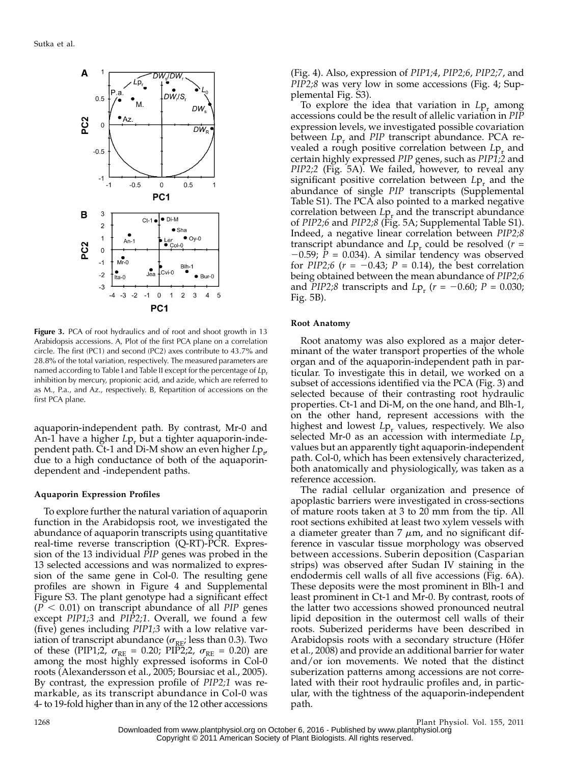

Figure 3. PCA of root hydraulics and of root and shoot growth in 13 Arabidopsis accessions. A, Plot of the first PCA plane on a correlation circle. The first (PC1) and second (PC2) axes contribute to 43.7% and 28.8% of the total variation, respectively. The measured parameters are named according to Table I and Table II except for the percentage of Lp. inhibition by mercury, propionic acid, and azide, which are referred to as M., P.a., and Az., respectively. B, Repartition of accessions on the first PCA plane.

aquaporin-independent path. By contrast, Mr-0 and An-1 have a higher  $L_{\mathcal{P}_r}$  but a tighter aquaporin-independent path. Ct-1 and Di-M show an even higher  $L{\rm p_{r^{\prime}}}$ due to a high conductance of both of the aquaporindependent and -independent paths.

#### Aquaporin Expression Profiles

To explore further the natural variation of aquaporin function in the Arabidopsis root, we investigated the abundance of aquaporin transcripts using quantitative real-time reverse transcription (Q-RT)-PCR. Expression of the 13 individual PIP genes was probed in the 13 selected accessions and was normalized to expression of the same gene in Col-0. The resulting gene profiles are shown in Figure 4 and Supplemental Figure S3. The plant genotype had a significant effect  $(P < 0.01)$  on transcript abundance of all PIP genes except PIP1;3 and PIP2;1. Overall, we found a few (five) genes including PIP1;3 with a low relative variation of transcript abundance ( $\sigma_{RE}$ ; less than 0.3). Two of these (PIP1;2,  $\sigma_{RE} = 0.20$ ; PIP2;2,  $\sigma_{RE} = 0.20$ ) are among the most highly expressed isoforms in Col-0 roots (Alexandersson et al., 2005; Boursiac et al., 2005). By contrast, the expression profile of PIP2;1 was remarkable, as its transcript abundance in Col-0 was 4- to 19-fold higher than in any of the 12 other accessions

(Fig. 4). Also, expression of PIP1;4, PIP2;6, PIP2;7, and PIP2;8 was very low in some accessions (Fig. 4; Supplemental Fig. S3).

To explore the idea that variation in  $L_{\mathcal{P}_r}$  among accessions could be the result of allelic variation in PIP expression levels, we investigated possible covariation between  $L_{P_r}$  and PIP transcript abundance. PCA revealed a rough positive correlation between  $L_{P_r}$  and certain highly expressed PIP genes, such as PIP1;2 and PIP2;2 (Fig. 5A). We failed, however, to reveal any significant positive correlation between  $L_{p_r}$  and the abundance of single PIP transcripts (Supplemental Table S1). The PCA also pointed to a marked negative correlation between  $L_{\mathcal{P}_r}$  and the transcript abundance of PIP2;6 and PIP2;8 (Fig. 5A; Supplemental Table S1). Indeed, a negative linear correlation between PIP2;8 transcript abundance and  $L_{p_r}$  could be resolved ( $r =$  $-0.59$ ;  $P = 0.034$ ). A similar tendency was observed for PIP2;6 ( $r = -0.43$ ; P = 0.14), the best correlation being obtained between the mean abundance of PIP2;6 and PIP2;8 transcripts and  $L_{\text{P}_{\text{r}}}$  ( $r = -0.60; P = 0.030;$ Fig. 5B).

#### Root Anatomy

Root anatomy was also explored as a major determinant of the water transport properties of the whole organ and of the aquaporin-independent path in particular. To investigate this in detail, we worked on a subset of accessions identified via the PCA (Fig. 3) and selected because of their contrasting root hydraulic properties. Ct-1 and Di-M, on the one hand, and Blh-1, on the other hand, represent accessions with the highest and lowest  $L_{p_r}$  values, respectively. We also selected Mr-0 as an accession with intermediate  $L_{p_{r}}$ values but an apparently tight aquaporin-independent path. Col-0, which has been extensively characterized, both anatomically and physiologically, was taken as a reference accession.

The radial cellular organization and presence of apoplastic barriers were investigated in cross-sections of mature roots taken at 3 to 20 mm from the tip. All root sections exhibited at least two xylem vessels with a diameter greater than  $7 \mu m$ , and no significant difference in vascular tissue morphology was observed between accessions. Suberin deposition (Casparian strips) was observed after Sudan IV staining in the endodermis cell walls of all five accessions (Fig. 6A). These deposits were the most prominent in Blh-1 and least prominent in Ct-1 and Mr-0. By contrast, roots of the latter two accessions showed pronounced neutral lipid deposition in the outermost cell walls of their roots. Suberized periderms have been described in Arabidopsis roots with a secondary structure (Höfer et al., 2008) and provide an additional barrier for water and/or ion movements. We noted that the distinct suberization patterns among accessions are not correlated with their root hydraulic profiles and, in particular, with the tightness of the aquaporin-independent path.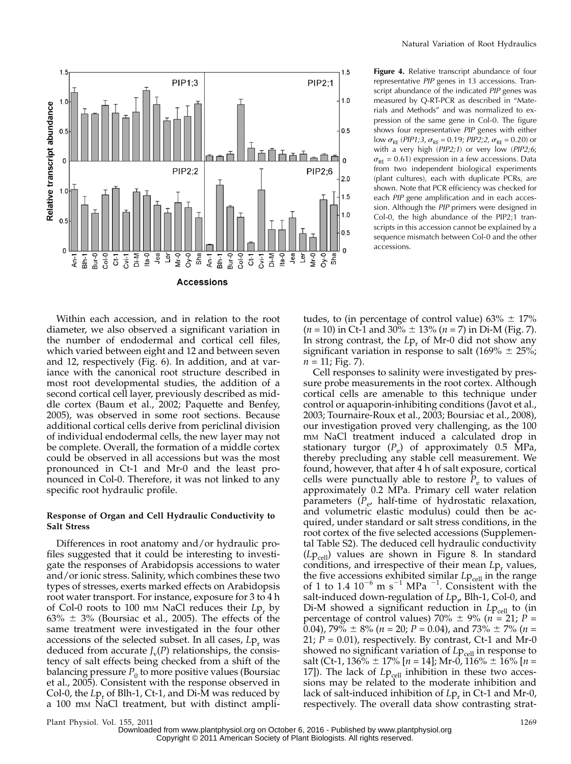

Within each accession, and in relation to the root diameter, we also observed a significant variation in the number of endodermal and cortical cell files, which varied between eight and 12 and between seven and 12, respectively (Fig. 6). In addition, and at variance with the canonical root structure described in most root developmental studies, the addition of a second cortical cell layer, previously described as middle cortex (Baum et al., 2002; Paquette and Benfey, 2005), was observed in some root sections. Because additional cortical cells derive from periclinal division

of individual endodermal cells, the new layer may not be complete. Overall, the formation of a middle cortex could be observed in all accessions but was the most pronounced in Ct-1 and Mr-0 and the least pronounced in Col-0. Therefore, it was not linked to any specific root hydraulic profile.

# Response of Organ and Cell Hydraulic Conductivity to Salt Stress

Differences in root anatomy and/or hydraulic profiles suggested that it could be interesting to investigate the responses of Arabidopsis accessions to water and/or ionic stress. Salinity, which combines these two types of stresses, exerts marked effects on Arabidopsis root water transport. For instance, exposure for 3 to 4 h of Col-0 roots to 100  $\mu$ M NaCl reduces their Lp<sub>r</sub> by 63%  $\pm$  3% (Boursiac et al., 2005). The effects of the same treatment were investigated in the four other accessions of the selected subset. In all cases,  $L_{p_r}$  was deduced from accurate  $J_{\rm v}(P)$  relationships, the consistency of salt effects being checked from a shift of the balancing pressure  $P_0$  to more positive values (Boursiac et al., 2005). Consistent with the response observed in Col-0, the  $L_{P_r}$  of Blh-1, Ct-1, and Di-M was reduced by a 100 mM NaCl treatment, but with distinct ampli-

Figure 4. Relative transcript abundance of four representative PIP genes in 13 accessions. Transcript abundance of the indicated PIP genes was measured by Q-RT-PCR as described in "Materials and Methods" and was normalized to expression of the same gene in Col-0. The figure shows four representative PIP genes with either low  $\sigma_{RE}$  (PIP1;3,  $\sigma_{RE} = 0.19$ ; PIP2;2,  $\sigma_{RE} = 0.20$ ) or with a very high (PIP2;1) or very low (PIP2;6;  $\sigma_{RF}$  = 0.61) expression in a few accessions. Data from two independent biological experiments (plant cultures), each with duplicate PCRs, are shown. Note that PCR efficiency was checked for each PIP gene amplification and in each accession. Although the PIP primers were designed in Col-0, the high abundance of the PIP2;1 transcripts in this accession cannot be explained by a sequence mismatch between Col-0 and the other accessions.

tudes, to (in percentage of control value)  $63\% \pm 17\%$  $(n = 10)$  in Ct-1 and 30%  $\pm$  13%  $(n = 7)$  in Di-M (Fig. 7). In strong contrast, the  $L_{\mathcal{P}_r}$  of Mr-0 did not show any significant variation in response to salt (169%  $\pm$  25%;  $n = 11$ ; Fig. 7).

Cell responses to salinity were investigated by pressure probe measurements in the root cortex. Although cortical cells are amenable to this technique under control or aquaporin-inhibiting conditions (Javot et al., 2003; Tournaire-Roux et al., 2003; Boursiac et al., 2008), our investigation proved very challenging, as the 100 mM NaCl treatment induced a calculated drop in stationary turgor  $(P_e)$  of approximately 0.5 MPa, thereby precluding any stable cell measurement. We found, however, that after 4 h of salt exposure, cortical cells were punctually able to restore  $\tilde{P}_e$  to values of approximately 0.2 MPa. Primary cell water relation parameters  $(P_{e}$ , half-time of hydrostatic relaxation, and volumetric elastic modulus) could then be acquired, under standard or salt stress conditions, in the root cortex of the five selected accessions (Supplemental Table S2). The deduced cell hydraulic conductivity  $(Lp_{cell})$  values are shown in Figure 8. In standard conditions, and irrespective of their mean  $L_{P_r}$  values, the five accessions exhibited similar  $L_{\text{Pcell}}$  in the range of 1 to 1.4  $10^{-6}$  m s<sup>-1</sup> MPa<sup>-1</sup>. Consistent with the salt-induced down-regulation of  $L{\rm p}_{r'}$  Blh-1, Col-0, and Di-M showed a significant reduction in  $L_{\text{Peell}}$  to (in percentage of control values) 70%  $\pm$  9% (n = 21; P = 0.04),  $79\% \pm 8\%$  ( $n = 20$ ;  $P = 0.04$ ), and  $73\% \pm 7\%$  ( $n =$ 21;  $P = 0.01$ ), respectively. By contrast, Ct-1 and Mr-0 showed no significant variation of  $L_{\text{Pcell}}$  in response to salt (Ct-1, 136%  $\pm$  17% [n = 14]; Mr-0, 116%  $\pm$  16% [n = 17]). The lack of  $Lp_{cell}$  inhibition in these two accessions may be related to the moderate inhibition and lack of salt-induced inhibition of  $L_{\rm P_r}$  in Ct-1 and Mr-0, respectively. The overall data show contrasting strat-

Plant Physiol. Vol. 155, 2011 1269 Downloaded from [www.plantphysiol.org](http://www.plantphysiol.org/) on October 6, 2016 - Published by [www.plantphysiol.org](http://www.plantphysiol.org) Copyright © 2011 American Society of Plant Biologists. All rights reserved.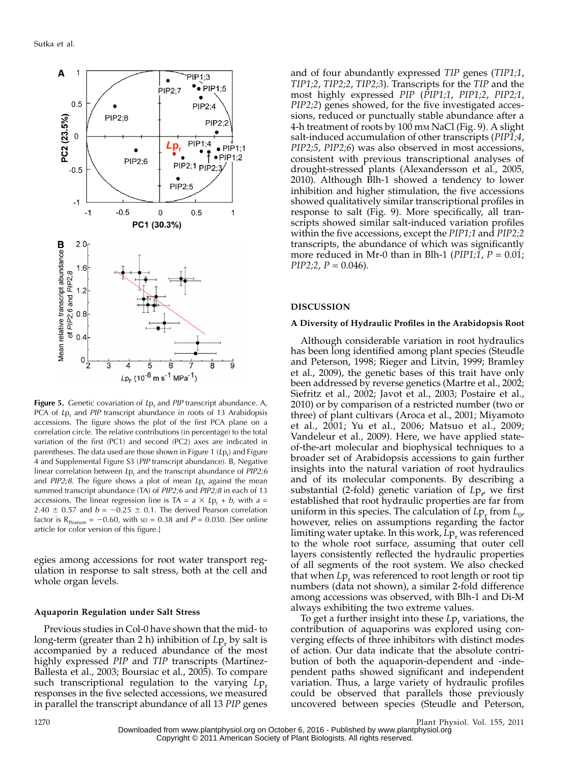

Figure 5. Genetic covariation of  $L_{P_r}$  and PIP transcript abundance. A, PCA of  $L_{P_r}$  and *PIP* transcript abundance in roots of 13 Arabidopsis accessions. The figure shows the plot of the first PCA plane on a correlation circle. The relative contributions (in percentage) to the total variation of the first (PC1) and second (PC2) axes are indicated in parentheses. The data used are those shown in Figure 1 (Lp<sub>r</sub>) and Figure 4 and Supplemental Figure S3 (PIP transcript abundance). B, Negative linear correlation between  $L_p$ , and the transcript abundance of  $PIP2;6$ and  $PIP2;8$ . The figure shows a plot of mean  $Lp<sub>r</sub>$  against the mean summed transcript abundance (TA) of PIP2;6 and PIP2;8 in each of 13 accessions. The linear regression line is TA =  $a \times Lp_r + b$ , with  $a =$ 2.40  $\pm$  0.57 and  $b = -0.25 \pm 0.1$ . The derived Pearson correlation factor is  $R_{Pearson} = -0.60$ , with  $SD = 0.38$  and  $P = 0.030$ . [See online article for color version of this figure.]

egies among accessions for root water transport regulation in response to salt stress, both at the cell and whole organ levels.

#### Aquaporin Regulation under Salt Stress

Previous studies in Col-0 have shown that the mid- to long-term (greater than 2 h) inhibition of  $L_{p_r}$  by salt is accompanied by a reduced abundance of the most highly expressed *PIP* and *TIP* transcripts (Martinez-Ballesta et al., 2003; Boursiac et al., 2005). To compare such transcriptional regulation to the varying  $L_{\mathsf{P}_r}$ responses in the five selected accessions, we measured in parallel the transcript abundance of all 13 PIP genes

and of four abundantly expressed TIP genes (TIP1;1, TIP1;2, TIP2;2, TIP2;3). Transcripts for the TIP and the most highly expressed PIP (PIP1;1, PIP1;2, PIP2;1, PIP2;2) genes showed, for the five investigated accessions, reduced or punctually stable abundance after a 4-h treatment of roots by 100 mM NaCl (Fig. 9). A slight salt-induced accumulation of other transcripts (PIP1;4, PIP2;5, PIP2;6) was also observed in most accessions, consistent with previous transcriptional analyses of drought-stressed plants (Alexandersson et al., 2005, 2010). Although Blh-1 showed a tendency to lower inhibition and higher stimulation, the five accessions showed qualitatively similar transcriptional profiles in response to salt (Fig. 9). More specifically, all transcripts showed similar salt-induced variation profiles within the five accessions, except the PIP1;1 and PIP2;2 transcripts, the abundance of which was significantly more reduced in Mr-0 than in Blh-1 ( $PIP1;1$ ,  $P = 0.01;$  $PIP2;2, P = 0.046$ .

#### DISCUSSION

#### A Diversity of Hydraulic Profiles in the Arabidopsis Root

Although considerable variation in root hydraulics has been long identified among plant species (Steudle and Peterson, 1998; Rieger and Litvin, 1999; Bramley et al., 2009), the genetic bases of this trait have only been addressed by reverse genetics (Martre et al., 2002; Siefritz et al., 2002; Javot et al., 2003; Postaire et al., 2010) or by comparison of a restricted number (two or three) of plant cultivars (Aroca et al., 2001; Miyamoto et al., 2001; Yu et al., 2006; Matsuo et al., 2009; Vandeleur et al., 2009). Here, we have applied stateof-the-art molecular and biophysical techniques to a broader set of Arabidopsis accessions to gain further insights into the natural variation of root hydraulics and of its molecular components. By describing a substantial (2-fold) genetic variation of  $L_{p_{r}}$  we first established that root hydraulic properties are far from uniform in this species. The calculation of  $L_{p_r}$  from  $L_{0r}$ however, relies on assumptions regarding the factor limiting water uptake. In this work,  $L_{P_r}$  was referenced to the whole root surface, assuming that outer cell layers consistently reflected the hydraulic properties of all segments of the root system. We also checked that when  $L_{P_r}$  was referenced to root length or root tip numbers (data not shown), a similar 2-fold difference among accessions was observed, with Blh-1 and Di-M always exhibiting the two extreme values.

To get a further insight into these  $L_{\mathcal{P}_r}$  variations, the contribution of aquaporins was explored using converging effects of three inhibitors with distinct modes of action. Our data indicate that the absolute contribution of both the aquaporin-dependent and -independent paths showed significant and independent variation. Thus, a large variety of hydraulic profiles could be observed that parallels those previously uncovered between species (Steudle and Peterson,

<sup>1270</sup> Plant Physiol. Vol. 155, 2011 Downloaded from [www.plantphysiol.org](http://www.plantphysiol.org/) on October 6, 2016 - Published by [www.plantphysiol.org](http://www.plantphysiol.org) Copyright © 2011 American Society of Plant Biologists. All rights reserved.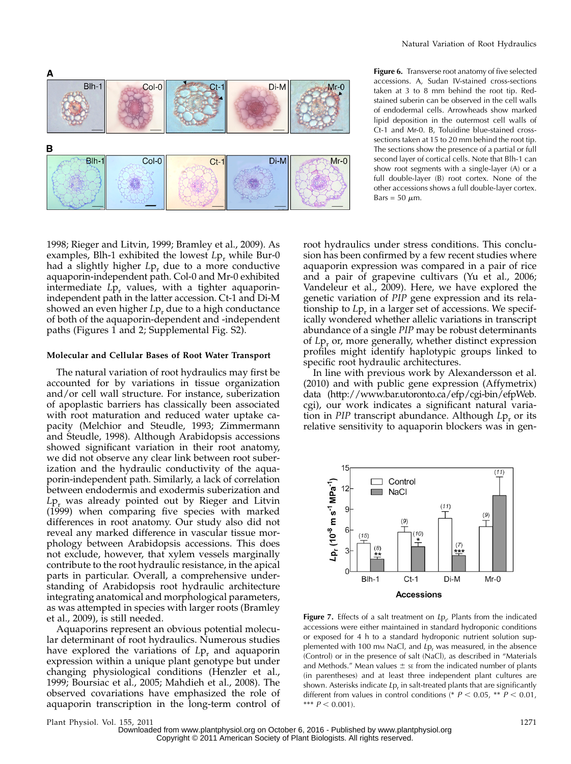

Figure 6. Transverse root anatomy of five selected accessions. A, Sudan IV-stained cross-sections taken at 3 to 8 mm behind the root tip. Redstained suberin can be observed in the cell walls of endodermal cells. Arrowheads show marked lipid deposition in the outermost cell walls of Ct-1 and Mr-0. B, Toluidine blue-stained crosssections taken at 15 to 20 mm behind the root tip. The sections show the presence of a partial or full second layer of cortical cells. Note that Blh-1 can show root segments with a single-layer (A) or a full double-layer (B) root cortex. None of the other accessions shows a full double-layer cortex. Bars = 50  $\mu$ m.

1998; Rieger and Litvin, 1999; Bramley et al., 2009). As examples, Blh-1 exhibited the lowest  $L_{p,r}$  while Bur-0 had a slightly higher  $L_{\mathcal{P}_r}$  due to a more conductive aquaporin-independent path. Col-0 and Mr-0 exhibited intermediate  $L_{p_r}$  values, with a tighter aquaporinindependent path in the latter accession. Ct-1 and Di-M showed an even higher  $L_{\mathcal{P}_r}$  due to a high conductance of both of the aquaporin-dependent and -independent paths (Figures 1 and 2; Supplemental Fig. S2).

#### Molecular and Cellular Bases of Root Water Transport

The natural variation of root hydraulics may first be accounted for by variations in tissue organization and/or cell wall structure. For instance, suberization of apoplastic barriers has classically been associated with root maturation and reduced water uptake capacity (Melchior and Steudle, 1993; Zimmermann and Steudle, 1998). Although Arabidopsis accessions showed significant variation in their root anatomy, we did not observe any clear link between root suberization and the hydraulic conductivity of the aquaporin-independent path. Similarly, a lack of correlation between endodermis and exodermis suberization and  $L_{\mathsf{P}_r}$  was already pointed out by Rieger and Litvin (1999) when comparing five species with marked differences in root anatomy. Our study also did not reveal any marked difference in vascular tissue morphology between Arabidopsis accessions. This does not exclude, however, that xylem vessels marginally contribute to the root hydraulic resistance, in the apical parts in particular. Overall, a comprehensive understanding of Arabidopsis root hydraulic architecture integrating anatomical and morphological parameters, as was attempted in species with larger roots (Bramley et al., 2009), is still needed.

Aquaporins represent an obvious potential molecular determinant of root hydraulics. Numerous studies have explored the variations of  $L_{p_r}$  and aquaporin expression within a unique plant genotype but under changing physiological conditions (Henzler et al., 1999; Boursiac et al., 2005; Mahdieh et al., 2008). The observed covariations have emphasized the role of aquaporin transcription in the long-term control of root hydraulics under stress conditions. This conclusion has been confirmed by a few recent studies where aquaporin expression was compared in a pair of rice and a pair of grapevine cultivars (Yu et al., 2006; Vandeleur et al., 2009). Here, we have explored the genetic variation of PIP gene expression and its relationship to  $L_{p_r}$  in a larger set of accessions. We specifically wondered whether allelic variations in transcript abundance of a single PIP may be robust determinants of  $L_{\mathcal{P}_r}$  or, more generally, whether distinct expression profiles might identify haplotypic groups linked to specific root hydraulic architectures.

In line with previous work by Alexandersson et al. (2010) and with public gene expression (Affymetrix) data (http://www.bar.utoronto.ca/efp/cgi-bin/efpWeb. cgi), our work indicates a significant natural variation in PIP transcript abundance. Although  $L_{\mathcal{P}_r}$  or its relative sensitivity to aquaporin blockers was in gen-



**Figure 7.** Effects of a salt treatment on  $L_p$ . Plants from the indicated accossions were oither maintained in standard by droponic conditions accessions were either maintained in standard hydroponic conditions or exposed for 4 h to a standard hydroponic nutrient solution supplemented with 100 mm NaCl, and  $L_{p_r}$  was measured, in the absence (Control) or in the presence of salt (NaCl), as described in "Materials and Methods." Mean values  $\pm$  se from the indicated number of plants (in parentheses) and at least three independent plant cultures are shown. Asterisks indicate  $L_{p_r}$  in salt-treated plants that are significantly different from values in control conditions (\*  $P < 0.05$ , \*\*  $P < 0.01$ , \*\*\*  $P < 0.001$ ).

Plant Physiol. Vol. 155, 2011 1271 Downloaded from [www.plantphysiol.org](http://www.plantphysiol.org/) on October 6, 2016 - Published by [www.plantphysiol.org](http://www.plantphysiol.org) Copyright © 2011 American Society of Plant Biologists. All rights reserved.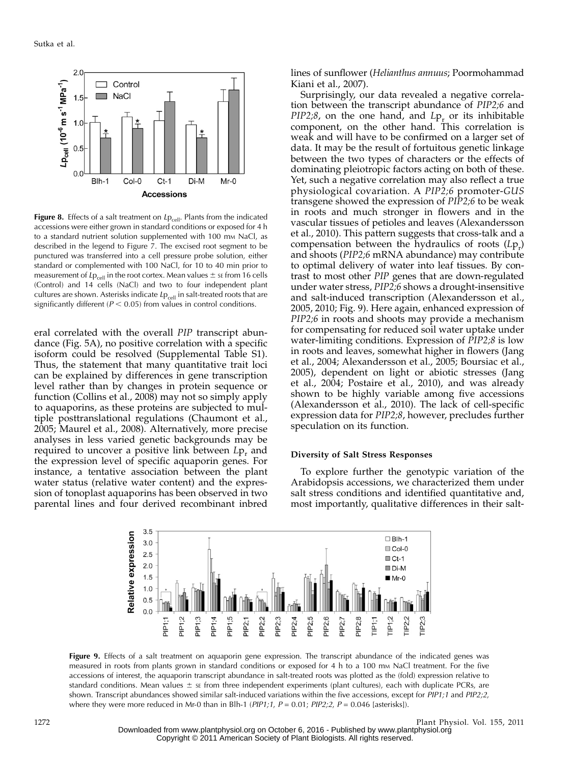

Figure 8. Effects of a salt treatment on  $L_{\text{Pcell}}$ . Plants from the indicated accessions were either grown in standard conditions or exposed for 4 h to a standard nutrient solution supplemented with 100 mm NaCl, as described in the legend to Figure 7. The excised root segment to be punctured was transferred into a cell pressure probe solution, either standard or complemented with 100 NaCl, for 10 to 40 min prior to measurement of  $Lp_{cell}$  in the root cortex. Mean values  $\pm$  se from 16 cells (Control) and 14 cells (NaCl) and two to four independent plant cultures are shown. Asterisks indicate  $L_{\text{Pcell}}$  in salt-treated roots that are significantly different ( $P < 0.05$ ) from values in control conditions.

eral correlated with the overall PIP transcript abundance (Fig. 5A), no positive correlation with a specific isoform could be resolved (Supplemental Table S1). Thus, the statement that many quantitative trait loci can be explained by differences in gene transcription level rather than by changes in protein sequence or function (Collins et al., 2008) may not so simply apply to aquaporins, as these proteins are subjected to multiple posttranslational regulations (Chaumont et al., 2005; Maurel et al., 2008). Alternatively, more precise analyses in less varied genetic backgrounds may be required to uncover a positive link between  $L_{p_r}$  and the expression level of specific aquaporin genes. For instance, a tentative association between the plant water status (relative water content) and the expression of tonoplast aquaporins has been observed in two parental lines and four derived recombinant inbred

lines of sunflower (Helianthus annuus; Poormohammad Kiani et al., 2007).

Surprisingly, our data revealed a negative correlation between the transcript abundance of PIP2;6 and  $PIP2;8$ , on the one hand, and  $Lp<sub>r</sub>$  or its inhibitable component, on the other hand. This correlation is weak and will have to be confirmed on a larger set of data. It may be the result of fortuitous genetic linkage between the two types of characters or the effects of dominating pleiotropic factors acting on both of these. Yet, such a negative correlation may also reflect a true physiological covariation. A PIP2;6 promoter-GUS transgene showed the expression of PIP2;6 to be weak in roots and much stronger in flowers and in the vascular tissues of petioles and leaves (Alexandersson et al., 2010). This pattern suggests that cross-talk and a compensation between the hydraulics of roots  $(L_{P_r})$ and shoots (PIP2;6 mRNA abundance) may contribute to optimal delivery of water into leaf tissues. By contrast to most other PIP genes that are down-regulated under water stress, PIP2;6 shows a drought-insensitive and salt-induced transcription (Alexandersson et al., 2005, 2010; Fig. 9). Here again, enhanced expression of PIP2;6 in roots and shoots may provide a mechanism for compensating for reduced soil water uptake under water-limiting conditions. Expression of PIP2;8 is low in roots and leaves, somewhat higher in flowers (Jang et al., 2004; Alexandersson et al., 2005; Boursiac et al., 2005), dependent on light or abiotic stresses (Jang et al., 2004; Postaire et al., 2010), and was already shown to be highly variable among five accessions (Alexandersson et al., 2010). The lack of cell-specific expression data for PIP2;8, however, precludes further speculation on its function.

#### Diversity of Salt Stress Responses

To explore further the genotypic variation of the Arabidopsis accessions, we characterized them under salt stress conditions and identified quantitative and, most importantly, qualitative differences in their salt-



Figure 9. Effects of a salt treatment on aquaporin gene expression. The transcript abundance of the indicated genes was measured in roots from plants grown in standard conditions or exposed for 4 h to a 100 mm NaCl treatment. For the five accessions of interest, the aquaporin transcript abundance in salt-treated roots was plotted as the (fold) expression relative to standard conditions. Mean values  $\pm$  se from three independent experiments (plant cultures), each with duplicate PCRs, are shown. Transcript abundances showed similar salt-induced variations within the five accessions, except for PIP1;1 and PIP2;2, where they were more reduced in Mr-0 than in Blh-1 ( $PIP1;1$ ,  $P = 0.01; PIP2;2$ ,  $P = 0.046$  [asterisks]).

1272 Plant Physiol. Vol. 155, 2011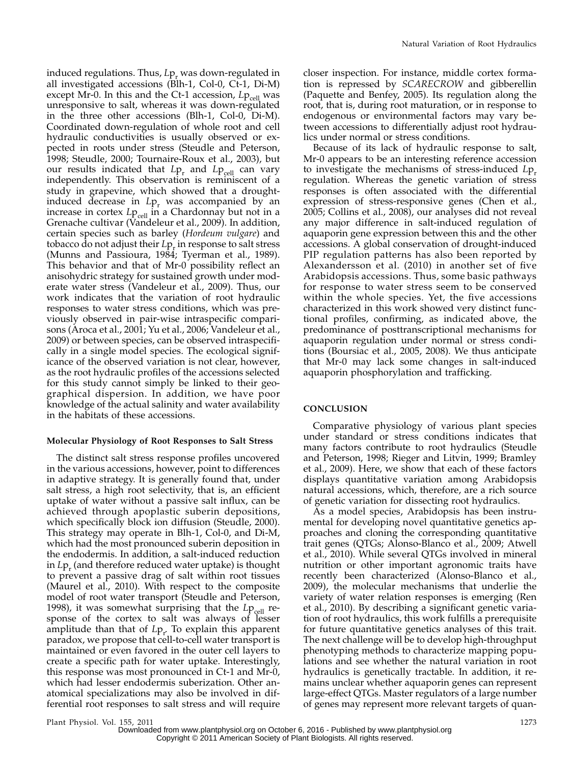induced regulations. Thus,  $L_{p_r}$  was down-regulated in all investigated accessions (Blh-1, Col-0, Ct-1, Di-M) except Mr-0. In this and the Ct-1 accession,  $L_{\text{Pcell}}$  was unresponsive to salt, whereas it was down-regulated in the three other accessions (Blh-1, Col-0, Di-M). Coordinated down-regulation of whole root and cell hydraulic conductivities is usually observed or expected in roots under stress (Steudle and Peterson, 1998; Steudle, 2000; Tournaire-Roux et al., 2003), but our results indicated that  $L_{\text{P}_{\text{r}}}$  and  $L_{\text{P}_{\text{cell}}}$  can vary independently. This observation is reminiscent of a study in grapevine, which showed that a droughtinduced decrease in  $L_{\text{P}_r}$  was accompanied by an increase in cortex  $L_{\text{Pcell}}$  in a Chardonnay but not in a Grenache cultivar (Vandeleur et al., 2009). In addition, certain species such as barley (Hordeum vulgare) and tobacco do not adjust their  $L_{\text{P}_r}$  in response to salt stress (Munns and Passioura, 1984; Tyerman et al., 1989). This behavior and that of Mr-0 possibility reflect an anisohydric strategy for sustained growth under moderate water stress (Vandeleur et al., 2009). Thus, our work indicates that the variation of root hydraulic responses to water stress conditions, which was previously observed in pair-wise intraspecific comparisons (Aroca et al., 2001; Yu et al., 2006; Vandeleur et al., 2009) or between species, can be observed intraspecifically in a single model species. The ecological significance of the observed variation is not clear, however, as the root hydraulic profiles of the accessions selected for this study cannot simply be linked to their geographical dispersion. In addition, we have poor knowledge of the actual salinity and water availability in the habitats of these accessions.

#### Molecular Physiology of Root Responses to Salt Stress

The distinct salt stress response profiles uncovered in the various accessions, however, point to differences in adaptive strategy. It is generally found that, under salt stress, a high root selectivity, that is, an efficient uptake of water without a passive salt influx, can be achieved through apoplastic suberin depositions, which specifically block ion diffusion (Steudle, 2000). This strategy may operate in Blh-1, Col-0, and Di-M, which had the most pronounced suberin deposition in the endodermis. In addition, a salt-induced reduction in  $L_{\text{P}_r}$  (and therefore reduced water uptake) is thought to prevent a passive drag of salt within root tissues (Maurel et al., 2010). With respect to the composite model of root water transport (Steudle and Peterson, 1998), it was somewhat surprising that the  $Lp_{cell}$  response of the cortex to salt was always of lesser amplitude than that of  $L_{p_{r}}$  To explain this apparent paradox, we propose that cell-to-cell water transport is maintained or even favored in the outer cell layers to create a specific path for water uptake. Interestingly, this response was most pronounced in Ct-1 and Mr-0, which had lesser endodermis suberization. Other anatomical specializations may also be involved in differential root responses to salt stress and will require

closer inspection. For instance, middle cortex formation is repressed by SCARECROW and gibberellin (Paquette and Benfey, 2005). Its regulation along the root, that is, during root maturation, or in response to endogenous or environmental factors may vary between accessions to differentially adjust root hydraulics under normal or stress conditions.

Because of its lack of hydraulic response to salt, Mr-0 appears to be an interesting reference accession to investigate the mechanisms of stress-induced  $L_{p_r}$ regulation. Whereas the genetic variation of stress responses is often associated with the differential expression of stress-responsive genes (Chen et al., 2005; Collins et al., 2008), our analyses did not reveal any major difference in salt-induced regulation of aquaporin gene expression between this and the other accessions. A global conservation of drought-induced PIP regulation patterns has also been reported by Alexandersson et al. (2010) in another set of five Arabidopsis accessions. Thus, some basic pathways for response to water stress seem to be conserved within the whole species. Yet, the five accessions characterized in this work showed very distinct functional profiles, confirming, as indicated above, the predominance of posttranscriptional mechanisms for aquaporin regulation under normal or stress conditions (Boursiac et al., 2005, 2008). We thus anticipate that Mr-0 may lack some changes in salt-induced aquaporin phosphorylation and trafficking.

# **CONCLUSION**

Comparative physiology of various plant species under standard or stress conditions indicates that many factors contribute to root hydraulics (Steudle and Peterson, 1998; Rieger and Litvin, 1999; Bramley et al., 2009). Here, we show that each of these factors displays quantitative variation among Arabidopsis natural accessions, which, therefore, are a rich source of genetic variation for dissecting root hydraulics.

As a model species, Arabidopsis has been instrumental for developing novel quantitative genetics approaches and cloning the corresponding quantitative trait genes (QTGs; Alonso-Blanco et al., 2009; Atwell et al., 2010). While several QTGs involved in mineral nutrition or other important agronomic traits have recently been characterized (Alonso-Blanco et al., 2009), the molecular mechanisms that underlie the variety of water relation responses is emerging (Ren et al., 2010). By describing a significant genetic variation of root hydraulics, this work fulfills a prerequisite for future quantitative genetics analyses of this trait. The next challenge will be to develop high-throughput phenotyping methods to characterize mapping populations and see whether the natural variation in root hydraulics is genetically tractable. In addition, it remains unclear whether aquaporin genes can represent large-effect QTGs. Master regulators of a large number of genes may represent more relevant targets of quan-

Plant Physiol. Vol. 155, 2011 1273

Downloaded from [www.plantphysiol.org](http://www.plantphysiol.org/) on October 6, 2016 - Published by [www.plantphysiol.org](http://www.plantphysiol.org) Copyright © 2011 American Society of Plant Biologists. All rights reserved.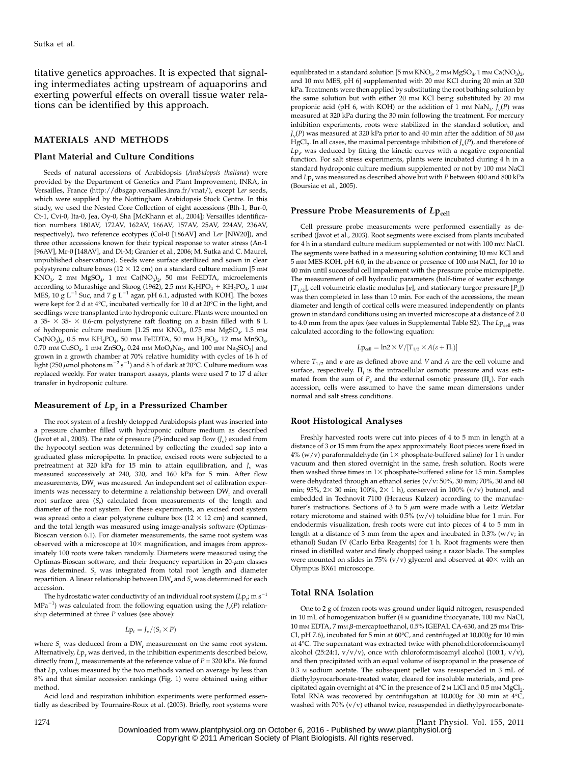titative genetics approaches. It is expected that signaling intermediates acting upstream of aquaporins and exerting powerful effects on overall tissue water relations can be identified by this approach.

#### MATERIALS AND METHODS

#### Plant Material and Culture Conditions

Seeds of natural accessions of Arabidopsis (Arabidopsis thaliana) were provided by the Department of Genetics and Plant Improvement, INRA, in Versailles, France (http://dbsgap.versailles.inra.fr/vnat/), except Ler seeds, which were supplied by the Nottingham Arabidopsis Stock Centre. In this study, we used the Nested Core Collection of eight accessions (Blh-1, Bur-0, Ct-1, Cvi-0, Ita-0, Jea, Oy-0, Sha [McKhann et al., 2004]; Versailles identification numbers 180AV, 172AV, 162AV, 166AV, 157AV, 25AV, 224AV, 236AV, respectively), two reference ecotypes (Col-0 [186AV] and Ler [NW20]), and three other accessions known for their typical response to water stress (An-1 [96AV], Mr-0 [148AV], and Di-M; Granier et al., 2006; M. Sutka and C. Maurel, unpublished observations). Seeds were surface sterilized and sown in clear polystyrene culture boxes ( $12 \times 12$  cm) on a standard culture medium [5 mm  $KNO<sub>3</sub>$ , 2 mm MgSO<sub>4</sub>, 1 mm Ca(NO<sub>3</sub>)<sub>2</sub>, 50 mm FeEDTA, microelements according to Murashige and Skoog (1962), 2.5 mm  $K_2HPO_4 + KH_2PO_4$ , 1 mm MES, 10 g L<sup>-1</sup> Suc, and 7 g L<sup>-1</sup> agar, pH 6.1, adjusted with KOH]. The boxes were kept for 2 d at  $4^{\circ}$ C, incubated vertically for 10 d at  $20^{\circ}$ C in the light, and seedlings were transplanted into hydroponic culture. Plants were mounted on a 35-  $\times$  35-  $\times$  0.6-cm polystyrene raft floating on a basin filled with 8 L of hydroponic culture medium [1.25 mm KNO $_{3}$ , 0.75 mm MgSO<sub>4</sub>, 1.5 mm  $Ca(NO<sub>3</sub>)<sub>2</sub>$ , 0.5 mm KH<sub>2</sub>PO<sub>4</sub>, 50 mm FeEDTA, 50 mm H<sub>3</sub>BO<sub>3</sub>, 12 mm MnSO<sub>4</sub>, 0.70 mm CuSO<sub>4</sub>, 1 mm ZnSO<sub>4</sub>, 0.24 mm MoO<sub>4</sub>Na<sub>2</sub>, and 100 mm Na<sub>2</sub>SiO<sub>3</sub>] and grown in a growth chamber at 70% relative humidity with cycles of 16 h of light (250  $\mu$ mol photons m<sup>-2</sup> s<sup>-1</sup>) and 8 h of dark at 20°C. Culture medium was replaced weekly. For water transport assays, plants were used 7 to 17 d after transfer in hydroponic culture.

#### Measurement of  $L_{\mathbf{P}_r}$  in a Pressurized Chamber

The root system of a freshly detopped Arabidopsis plant was inserted into a pressure chamber filled with hydroponic culture medium as described (Javot et al., 2003). The rate of pressure (P)-induced sap flow ( $J_v$ ) exuded from the hypocotyl section was determined by collecting the exuded sap into a graduated glass micropipette. In practice, excised roots were subjected to a pretreatment at 320 kPa for 15 min to attain equilibration, and  $J_v$  was measured successively at 240, 320, and 160 kPa for 5 min. After flow measurements, DW<sub>r</sub> was measured. An independent set of calibration experiments was necessary to determine a relationship between DW, and overall root surface area  $(S_r)$  calculated from measurements of the length and diameter of the root system. For these experiments, an excised root system was spread onto a clear polystyrene culture box  $(12 \times 12 \text{ cm})$  and scanned, and the total length was measured using image-analysis software (Optimas-Bioscan version 6.1). For diameter measurements, the same root system was observed with a microscope at  $10\times$  magnification, and images from approximately 100 roots were taken randomly. Diameters were measured using the Optimas-Bioscan software, and their frequency repartition in  $20$ - $\mu$ m classes was determined.  $S_r$  was integrated from total root length and diameter repartition. A linear relationship between  $DW_r$  and  $S_r$  was determined for each accession.

The hydrostatic water conductivity of an individual root system (Lp<sub>r</sub>, m s<sup>-1</sup>  $MPa^{-1}$ ) was calculated from the following equation using the  $J_v(P)$  relationship determined at three  $P$  values (see above):

$$
L\mathrm{p}_r = J_v/(S_r \times P)
$$

where  $S_r$  was deduced from a  $DW_r$  measurement on the same root system. Alternatively,  $L_{P_r}$  was derived, in the inhibition experiments described below, directly from  $J_v$  measurements at the reference value of  $P = 320$  kPa. We found that  $L_{P_r}$  values measured by the two methods varied on average by less than 8% and that similar accession rankings (Fig. 1) were obtained using either method.

Acid load and respiration inhibition experiments were performed essentially as described by Tournaire-Roux et al. (2003). Briefly, root systems were equilibrated in a standard solution [5 mm KNO<sub>3</sub>, 2 mm MgSO<sub>4</sub>, 1 mm Ca(NO<sub>3</sub>)<sub>2</sub>, and 10 mm MES, pH 6] supplemented with 20 mm KCl during 20 min at 320 kPa. Treatments were then applied by substituting the root bathing solution by the same solution but with either 20 mm KCl being substituted by 20 mm propionic acid (pH 6, with KOH) or the addition of 1 mm NaN<sub>3</sub>.  $J_v(P)$  was measured at 320 kPa during the 30 min following the treatment. For mercury inhibition experiments, roots were stabilized in the standard solution, and  $J_{\rm v}(P)$  was measured at 320 kPa prior to and 40 min after the addition of 50  $\mu$ M HgCl<sub>2</sub>. In all cases, the maximal percentage inhibition of  $J_v(P)$ , and therefore of  $L{\rm p}_{r}$  was deduced by fitting the kinetic curves with a negative exponential function. For salt stress experiments, plants were incubated during 4 h in a standard hydroponic culture medium supplemented or not by 100 mm NaCl and  $L_{P_r}$  was measured as described above but with P between 400 and 800 kPa (Boursiac et al., 2005).

#### Pressure Probe Measurements of  $Lp_{cell}$

Cell pressure probe measurements were performed essentially as described (Javot et al., 2003). Root segments were excised from plants incubated for 4 h in a standard culture medium supplemented or not with 100 mm NaCl. The segments were bathed in a measuring solution containing 10 mm KCl and 5 mM MES-KOH, pH 6.0, in the absence or presence of 100 mM NaCl, for 10 to 40 min until successful cell impalement with the pressure probe micropipette. The measurement of cell hydraulic parameters (half-time of water exchange  $[T_{1/2}]$ , cell volumetric elastic modulus [ $\varepsilon$ ], and stationary turgor pressure [ $P_{\varepsilon}$ ]) was then completed in less than 10 min. For each of the accessions, the mean diameter and length of cortical cells were measured independently on plants grown in standard conditions using an inverted microscope at a distance of 2.0 to 4.0 mm from the apex (see values in Supplemental Table S2). The Lp<sub>cell</sub> was calculated according to the following equation:

$$
L p_{cell} = \ln 2 \times V / [T_{1/2} \times A(\epsilon + \Pi_i)]
$$

where  $T_{1/2}$  and  $\varepsilon$  are as defined above and V and A are the cell volume and surface, respectively.  $\Pi_i$  is the intracellular osmotic pressure and was estimated from the sum of  $P_e$  and the external osmotic pressure  $(\Pi_e)$ . For each accession, cells were assumed to have the same mean dimensions under normal and salt stress conditions.

#### Root Histological Analyses

Freshly harvested roots were cut into pieces of 4 to 5 mm in length at a distance of 3 or 15 mm from the apex approximately. Root pieces were fixed in  $4\%$  (w/v) paraformaldehyde (in  $1\times$  phosphate-buffered saline) for 1 h under vacuum and then stored overnight in the same, fresh solution. Roots were then washed three times in  $1\times$  phosphate-buffered saline for 15 min. Samples were dehydrated through an ethanol series (v/v: 50%, 30 min; 70%, 30 and 60 min; 95%, 2 $\times$  30 min; 100%, 2 $\times$  1 h), conserved in 100% (v/v) butanol, and embedded in Technovit 7100 (Heraeus Kulzer) according to the manufacturer's instructions. Sections of 3 to 5  $\mu$ m were made with a Leitz Wetzlar rotary microtome and stained with  $0.5\%$  (w/v) toluidine blue for 1 min. For endodermis visualization, fresh roots were cut into pieces of 4 to 5 mm in length at a distance of 3 mm from the apex and incubated in 0.3% (w/v; in ethanol) Sudan IV (Carlo Erba Reagents) for 1 h. Root fragments were then rinsed in distilled water and finely chopped using a razor blade. The samples were mounted on slides in 75% ( $v/v$ ) glycerol and observed at  $40\times$  with an Olympus BX61 microscope.

#### Total RNA Isolation

One to 2 g of frozen roots was ground under liquid nitrogen, resuspended in 10 mL of homogenization buffer (4 M guanidine thiocyanate, 100 mM NaCl, 10 mm EDTA, 7 mm  $\beta$ -mercaptoethanol, 0.5% IGEPAL CA-630, and 25 mm Tris-Cl, pH 7.6), incubated for 5 min at 60 $^{\circ}$ C, and centrifuged at 10,000g for 10 min at 4C. The supernatant was extracted twice with phenol:chloroform:isoamyl alcohol (25:24:1,  $v/v/v$ ), once with chloroform:isoamyl alcohol (100:1,  $v/v$ ), and then precipitated with an equal volume of isopropanol in the presence of 0.3 <sup>M</sup> sodium acetate. The subsequent pellet was resuspended in 3 mL of diethylpyrocarbonate-treated water, cleared for insoluble materials, and precipitated again overnight at  $4^{\circ}$ C in the presence of 2 M LiCl and 0.5 mm MgCl<sub>2</sub>. Total RNA was recovered by centrifugation at  $10,000g$  for 30 min at  $4^{\circ}$ C, washed with 70% (v/v) ethanol twice, resuspended in diethylpyrocarbonate-

1274 Plant Physiol. Vol. 155, 2011 Downloaded from [www.plantphysiol.org](http://www.plantphysiol.org/) on October 6, 2016 - Published by [www.plantphysiol.org](http://www.plantphysiol.org) Copyright © 2011 American Society of Plant Biologists. All rights reserved.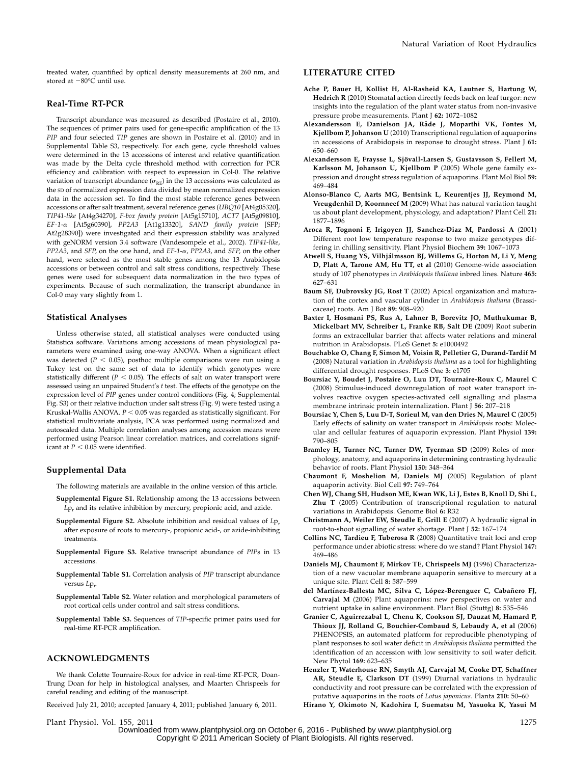treated water, quantified by optical density measurements at 260 nm, and stored at  $-80^{\circ}$ C until use.

### Real-Time RT-PCR

Transcript abundance was measured as described (Postaire et al., 2010). The sequences of primer pairs used for gene-specific amplification of the 13 PIP and four selected TIP genes are shown in Postaire et al. (2010) and in Supplemental Table S3, respectively. For each gene, cycle threshold values were determined in the 13 accessions of interest and relative quantification was made by the Delta cycle threshold method with correction for PCR efficiency and calibration with respect to expression in Col-0. The relative variation of transcript abundance  $(\sigma_{\rm RE})$  in the 13 accessions was calculated as the SD of normalized expression data divided by mean normalized expression data in the accession set. To find the most stable reference genes between accessions or after salt treatment, several reference genes (UBQ10 [At4g05320], TIP41-like [At4g34270], F-box family protein [At5g15710], ACT7 [At5g09810], EF-1-a [At5g60390], PP2A3 [At1g13320], SAND family protein [SFP; At2g28390]) were investigated and their expression stability was analyzed with geNORM version 3.4 software (Vandesompele et al., 2002). TIP41-like,  $PP2A3$ , and SFP, on the one hand, and  $EF-1-\alpha$ ,  $PP2A3$ , and SFP, on the other hand, were selected as the most stable genes among the 13 Arabidopsis accessions or between control and salt stress conditions, respectively. These genes were used for subsequent data normalization in the two types of experiments. Because of such normalization, the transcript abundance in Col-0 may vary slightly from 1.

#### Statistical Analyses

Unless otherwise stated, all statistical analyses were conducted using Statistica software. Variations among accessions of mean physiological parameters were examined using one-way ANOVA. When a significant effect was detected ( $P < 0.05$ ), posthoc multiple comparisons were run using a Tukey test on the same set of data to identify which genotypes were statistically different ( $P < 0.05$ ). The effects of salt on water transport were assessed using an unpaired Student's t test. The effects of the genotype on the expression level of PIP genes under control conditions (Fig. 4; Supplemental Fig. S3) or their relative induction under salt stress (Fig. 9) were tested using a Kruskal-Wallis ANOVA.  $P < 0.05$  was regarded as statistically significant. For statistical multivariate analysis, PCA was performed using normalized and autoscaled data. Multiple correlation analyses among accession means were performed using Pearson linear correlation matrices, and correlations significant at  $P < 0.05$  were identified.

#### Supplemental Data

The following materials are available in the online version of this article.

- Supplemental Figure S1. Relationship among the 13 accessions between  $L_{P_r}$  and its relative inhibition by mercury, propionic acid, and azide.
- Supplemental Figure S2. Absolute inhibition and residual values of  $L_{p_r}$ after exposure of roots to mercury-, propionic acid-, or azide-inhibiting treatments.
- Supplemental Figure S3. Relative transcript abundance of PIPs in 13 accessions.
- Supplemental Table S1. Correlation analysis of PIP transcript abundance versus Lp<sub>r</sub>
- Supplemental Table S2. Water relation and morphological parameters of root cortical cells under control and salt stress conditions.
- Supplemental Table S3. Sequences of TIP-specific primer pairs used for real-time RT-PCR amplification.

# ACKNOWLEDGMENTS

We thank Colette Tournaire-Roux for advice in real-time RT-PCR, Doan-Trung Doan for help in histological analyses, and Maarten Chrispeels for careful reading and editing of the manuscript.

Received July 21, 2010; accepted January 4, 2011; published January 6, 2011.

### LITERATURE CITED

- Ache P, Bauer H, Kollist H, Al-Rasheid KA, Lautner S, Hartung W, Hedrich R (2010) Stomatal action directly feeds back on leaf turgor: new insights into the regulation of the plant water status from non-invasive pressure probe measurements. Plant J 62: 1072–1082
- Alexandersson E, Danielson JA, Råde J, Moparthi VK, Fontes M, Kjellbom P, Johanson U (2010) Transcriptional regulation of aquaporins in accessions of Arabidopsis in response to drought stress. Plant J 61: 650–660
- Alexandersson E, Fraysse L, Sjövall-Larsen S, Gustavsson S, Fellert M, Karlsson M, Johanson U, Kjellbom P (2005) Whole gene family expression and drought stress regulation of aquaporins. Plant Mol Biol 59: 469–484
- Alonso-Blanco C, Aarts MG, Bentsink L, Keurentjes JJ, Reymond M, Vreugdenhil D, Koornneef M (2009) What has natural variation taught us about plant development, physiology, and adaptation? Plant Cell 21: 1877–1896
- Aroca R, Tognoni F, Irigoyen JJ, Sanchez-Diaz M, Pardossi A (2001) Different root low temperature response to two maize genotypes differing in chilling sensitivity. Plant Physiol Biochem 39: 1067–1073
- Atwell S, Huang YS, Vilhjálmsson BJ, Willems G, Horton M, Li Y, Meng D, Platt A, Tarone AM, Hu TT, et al (2010) Genome-wide association study of 107 phenotypes in Arabidopsis thaliana inbred lines. Nature 465: 627–631
- Baum SF, Dubrovsky JG, Rost T (2002) Apical organization and maturation of the cortex and vascular cylinder in Arabidopsis thaliana (Brassicaceae) roots. Am J Bot 89: 908–920
- Baxter I, Hosmani PS, Rus A, Lahner B, Borevitz JO, Muthukumar B, Mickelbart MV, Schreiber L, Franke RB, Salt DE (2009) Root suberin forms an extracellular barrier that affects water relations and mineral nutrition in Arabidopsis. PLoS Genet 5: e1000492
- Bouchabke O, Chang F, Simon M, Voisin R, Pelletier G, Durand-Tardif M (2008) Natural variation in Arabidopsis thaliana as a tool for highlighting differential drought responses. PLoS One 3: e1705
- Boursiac Y, Boudet J, Postaire O, Luu DT, Tournaire-Roux C, Maurel C (2008) Stimulus-induced downregulation of root water transport involves reactive oxygen species-activated cell signalling and plasma membrane intrinsic protein internalization. Plant J 56: 207–218
- Boursiac Y, Chen S, Luu D-T, Sorieul M, van den Dries N, Maurel C (2005) Early effects of salinity on water transport in Arabidopsis roots: Molecular and cellular features of aquaporin expression. Plant Physiol 139: 790–805
- Bramley H, Turner NC, Turner DW, Tyerman SD (2009) Roles of morphology, anatomy, and aquaporins in determining contrasting hydraulic behavior of roots. Plant Physiol 150: 348–364
- Chaumont F, Moshelion M, Daniels MJ (2005) Regulation of plant aquaporin activity. Biol Cell 97: 749–764
- Chen WJ, Chang SH, Hudson ME, Kwan WK, Li J, Estes B, Knoll D, Shi L, Zhu T (2005) Contribution of transcriptional regulation to natural variations in Arabidopsis. Genome Biol 6: R32
- Christmann A, Weiler EW, Steudle E, Grill E (2007) A hydraulic signal in root-to-shoot signalling of water shortage. Plant J 52: 167–174
- Collins NC, Tardieu F, Tuberosa R (2008) Quantitative trait loci and crop performance under abiotic stress: where do we stand? Plant Physiol 147: 469–486
- Daniels MJ, Chaumont F, Mirkov TE, Chrispeels MJ (1996) Characterization of a new vacuolar membrane aquaporin sensitive to mercury at a unique site. Plant Cell 8: 587–599
- del Martínez-Ballesta MC, Silva C, López-Berenguer C, Cabañero FJ, Carvajal M (2006) Plant aquaporins: new perspectives on water and nutrient uptake in saline environment. Plant Biol (Stuttg) 8: 535–546
- Granier C, Aguirrezabal L, Chenu K, Cookson SJ, Dauzat M, Hamard P, Thioux JJ, Rolland G, Bouchier-Combaud S, Lebaudy A, et al (2006) PHENOPSIS, an automated platform for reproducible phenotyping of plant responses to soil water deficit in Arabidopsis thaliana permitted the identification of an accession with low sensitivity to soil water deficit. New Phytol 169: 623–635
- Henzler T, Waterhouse RN, Smyth AJ, Carvajal M, Cooke DT, Schaffner AR, Steudle E, Clarkson DT (1999) Diurnal variations in hydraulic conductivity and root pressure can be correlated with the expression of putative aquaporins in the roots of Lotus japonicus. Planta 210: 50–60
- Hirano Y, Okimoto N, Kadohira I, Suematsu M, Yasuoka K, Yasui M

Plant Physiol. Vol. 155, 2011 1275 Downloaded from [www.plantphysiol.org](http://www.plantphysiol.org/) on October 6, 2016 - Published by [www.plantphysiol.org](http://www.plantphysiol.org) Copyright © 2011 American Society of Plant Biologists. All rights reserved.